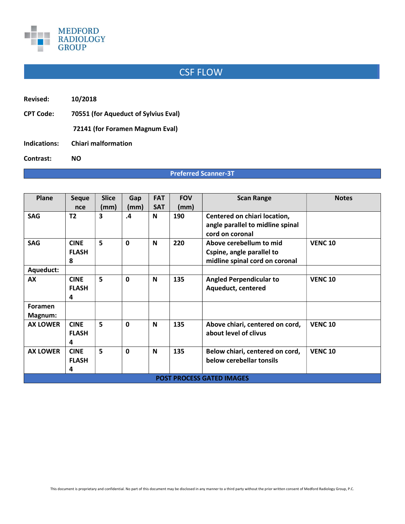

## CSF FLOW

- Revised: 10/2018 CPT Code: 70551 (for Aqueduct of Sylvius Eval) 72141 (for Foramen Magnum Eval)
- Indications: Chiari malformation

Contrast: NO

## Preferred Scanner-3T

| Plane              | <b>Seque</b>                     | <b>Slice</b> | Gap          | <b>FAT</b> | <b>FOV</b> | <b>Scan Range</b>                                                                      | <b>Notes</b>   |  |
|--------------------|----------------------------------|--------------|--------------|------------|------------|----------------------------------------------------------------------------------------|----------------|--|
|                    | nce                              | (mm)         | (mm)         | <b>SAT</b> | (mm)       |                                                                                        |                |  |
| <b>SAG</b>         | T <sub>2</sub>                   | 3            | $\cdot$      | N          | 190        | Centered on chiari location,<br>angle parallel to midline spinal<br>cord on coronal    |                |  |
| <b>SAG</b>         | <b>CINE</b><br><b>FLASH</b><br>8 | 5            | $\mathbf{0}$ | N          | 220        | Above cerebellum to mid<br>Cspine, angle parallel to<br>midline spinal cord on coronal | <b>VENC 10</b> |  |
| Aqueduct:          |                                  |              |              |            |            |                                                                                        |                |  |
| AX                 | <b>CINE</b><br><b>FLASH</b><br>4 | 5            | $\mathbf{0}$ | N          | 135        | <b>Angled Perpendicular to</b><br>Aqueduct, centered                                   | <b>VENC 10</b> |  |
| Foramen<br>Magnum: |                                  |              |              |            |            |                                                                                        |                |  |
| <b>AX LOWER</b>    | <b>CINE</b><br><b>FLASH</b><br>4 | 5            | $\mathbf{0}$ | N          | 135        | Above chiari, centered on cord,<br>about level of clivus                               | <b>VENC 10</b> |  |
| <b>AX LOWER</b>    | <b>CINE</b><br><b>FLASH</b><br>4 | 5            | $\mathbf{0}$ | N          | 135        | Below chiari, centered on cord,<br>below cerebellar tonsils                            | <b>VENC 10</b> |  |
|                    | <b>POST PROCESS GATED IMAGES</b> |              |              |            |            |                                                                                        |                |  |